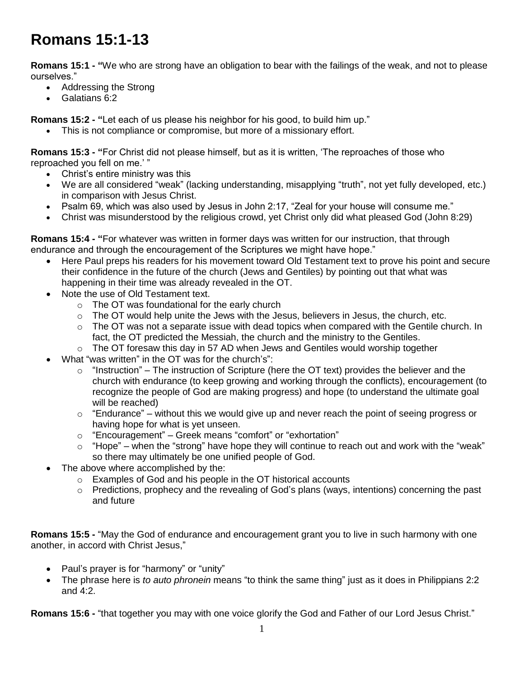## **Romans 15:1-13**

**Romans 15:1 - "**We who are strong have an obligation to bear with the failings of the weak, and not to please ourselves."

- Addressing the Strong
- Galatians 6:2

**Romans 15:2 - "**Let each of us please his neighbor for his good, to build him up."

This is not compliance or compromise, but more of a missionary effort.

**Romans 15:3 - "**For Christ did not please himself, but as it is written, 'The reproaches of those who reproached you fell on me.' "

- Christ's entire ministry was this
- We are all considered "weak" (lacking understanding, misapplying "truth", not yet fully developed, etc.) in comparison with Jesus Christ.
- Psalm 69, which was also used by Jesus in John 2:17, "Zeal for your house will consume me."
- Christ was misunderstood by the religious crowd, yet Christ only did what pleased God (John 8:29)

**Romans 15:4 - "**For whatever was written in former days was written for our instruction, that through endurance and through the encouragement of the Scriptures we might have hope."

- Here Paul preps his readers for his movement toward Old Testament text to prove his point and secure their confidence in the future of the church (Jews and Gentiles) by pointing out that what was happening in their time was already revealed in the OT.
- Note the use of Old Testament text.
	- o The OT was foundational for the early church
	- o The OT would help unite the Jews with the Jesus, believers in Jesus, the church, etc.
	- $\circ$  The OT was not a separate issue with dead topics when compared with the Gentile church. In fact, the OT predicted the Messiah, the church and the ministry to the Gentiles.
	- o The OT foresaw this day in 57 AD when Jews and Gentiles would worship together
- What "was written" in the OT was for the church's":
	- $\circ$  "Instruction" The instruction of Scripture (here the OT text) provides the believer and the church with endurance (to keep growing and working through the conflicts), encouragement (to recognize the people of God are making progress) and hope (to understand the ultimate goal will be reached)
	- $\circ$  "Endurance" without this we would give up and never reach the point of seeing progress or having hope for what is yet unseen.
	- o "Encouragement" Greek means "comfort" or "exhortation"
	- $\circ$  "Hope" when the "strong" have hope they will continue to reach out and work with the "weak" so there may ultimately be one unified people of God.
- The above where accomplished by the:
	- o Examples of God and his people in the OT historical accounts
	- o Predictions, prophecy and the revealing of God's plans (ways, intentions) concerning the past and future

**Romans 15:5 -** "May the God of endurance and encouragement grant you to live in such harmony with one another, in accord with Christ Jesus,"

- Paul's prayer is for "harmony" or "unity"
- The phrase here is *to auto phronein* means "to think the same thing" just as it does in Philippians 2:2 and 4:2.

**Romans 15:6 -** "that together you may with one voice glorify the God and Father of our Lord Jesus Christ."